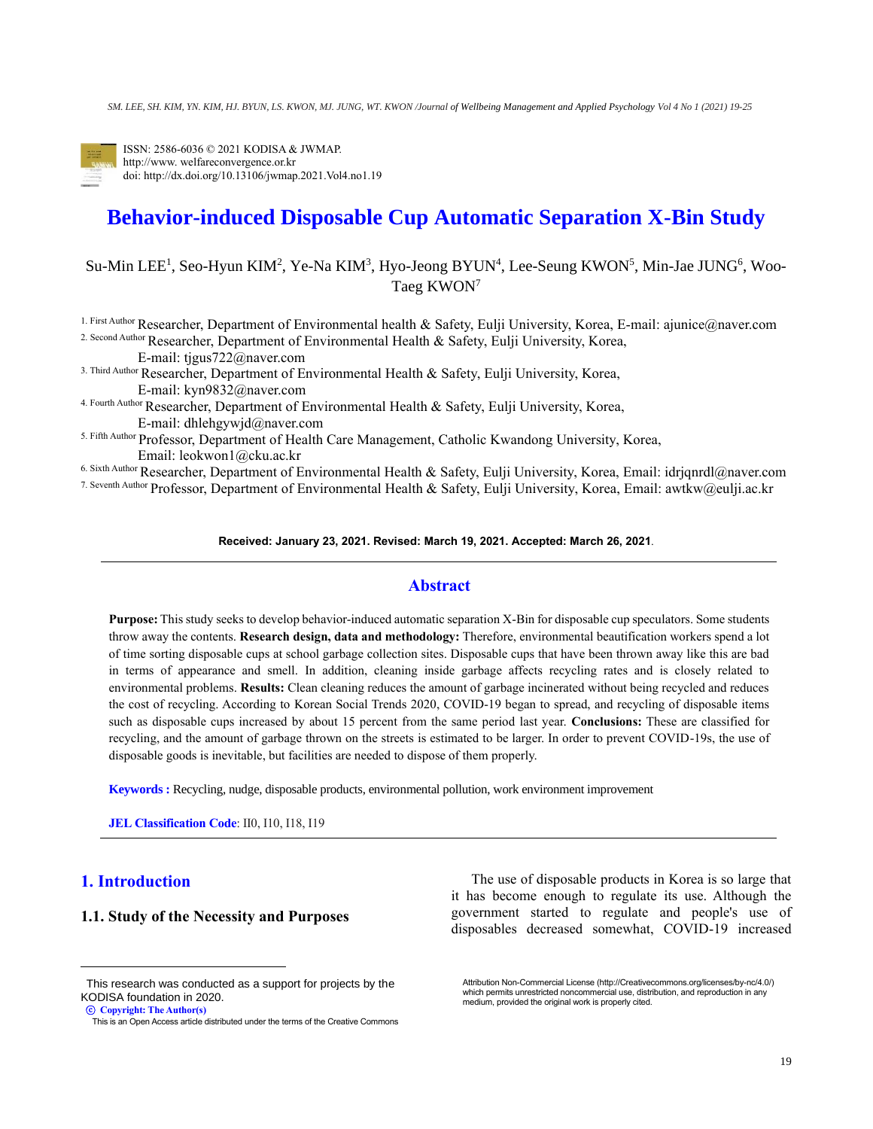

ISSN: 2586-6036 © 2021 KODISA & JWMAP. http://www. welfareconvergence.or.kr doi: http://dx.doi.org/10.13106/jwmap.2021.Vol4.no1.19

# **Behavior-induced Disposable Cup Automatic Separation X-Bin Study**

Su-Min LEE<sup>1</sup>, Seo-Hyun KIM<sup>2</sup>, Ye-Na KIM<sup>3</sup>, Hyo-Jeong BYUN<sup>4</sup>, Lee-Seung KWON<sup>5</sup>, Min-Jae JUNG<sup>6</sup>, Woo-Taeg KWON<sup>7</sup>

1. First Author Researcher, Department of Environmental health & Safety, Eulji University, Korea, E-mail: ajunice@naver.com 2. Second Author Researcher, Department of Environmental Health & Safety, Eulji University, Korea,

E-mail: tjgus722@naver.com

3. Third Author Researcher, Department of Environmental Health & Safety, Eulji University, Korea, E-mail: kyn9832@naver.com

4. Fourth Author Researcher, Department of Environmental Health & Safety, Eulji University, Korea, E-mail: dhlehgywjd@naver.com

5. Fifth Author Professor, Department of Health Care Management, Catholic Kwandong University, Korea, Email: [leokwon1@cku.ac.kr](mailto:leokwon1@cku.ac.kr)

6. Sixth Author Researcher, Department of Environmental Health & Safety, Eulji University, Korea, Email: [idrjqnrdl@naver.com](mailto:idrjqnrdl@naver.com)

7. Seventh Author Professor, Department of Environmental Health & Safety, Eulji University, Korea, Email: awtkw@eulji.ac.kr

#### **Received: January 23, 2021. Revised: March 19, 2021. Accepted: March 26, 2021**.

## **Abstract**

**Purpose:** This study seeks to develop behavior-induced automatic separation X-Bin for disposable cup speculators. Some students throw away the contents. **Research design, data and methodology:** Therefore, environmental beautification workers spend a lot of time sorting disposable cups at school garbage collection sites. Disposable cups that have been thrown away like this are bad in terms of appearance and smell. In addition, cleaning inside garbage affects recycling rates and is closely related to environmental problems. **Results:** Clean cleaning reduces the amount of garbage incinerated without being recycled and reduces the cost of recycling. According to Korean Social Trends 2020, COVID-19 began to spread, and recycling of disposable items such as disposable cups increased by about 15 percent from the same period last year. **Conclusions:** These are classified for recycling, and the amount of garbage thrown on the streets is estimated to be larger. In order to prevent COVID-19s, the use of disposable goods is inevitable, but facilities are needed to dispose of them properly.

**Keywords :** Recycling, nudge, disposable products, environmental pollution, work environment improvement

**JEL Classification Code**: II0, I10, I18, I19

# **1. Introduction<sup>1</sup>**

# **1.1. Study of the Necessity and Purposes**

ⓒ **Copyright: The Author(s)**

The use of disposable products in Korea is so large that it has become enough to regulate its use. Although the government started to regulate and people's use of disposables decreased somewhat, COVID-19 increased

Attribution Non-Commercial License (http://Creativecommons.org/licenses/by-nc/4.0/) which permits unrestricted noncommercial use, distribution, and reproduction in any medium, provided the original work is properly cited.

This research was conducted as a support for projects by the KODISA foundation in 2020.

This is an Open Access article distributed under the terms of the Creative Commons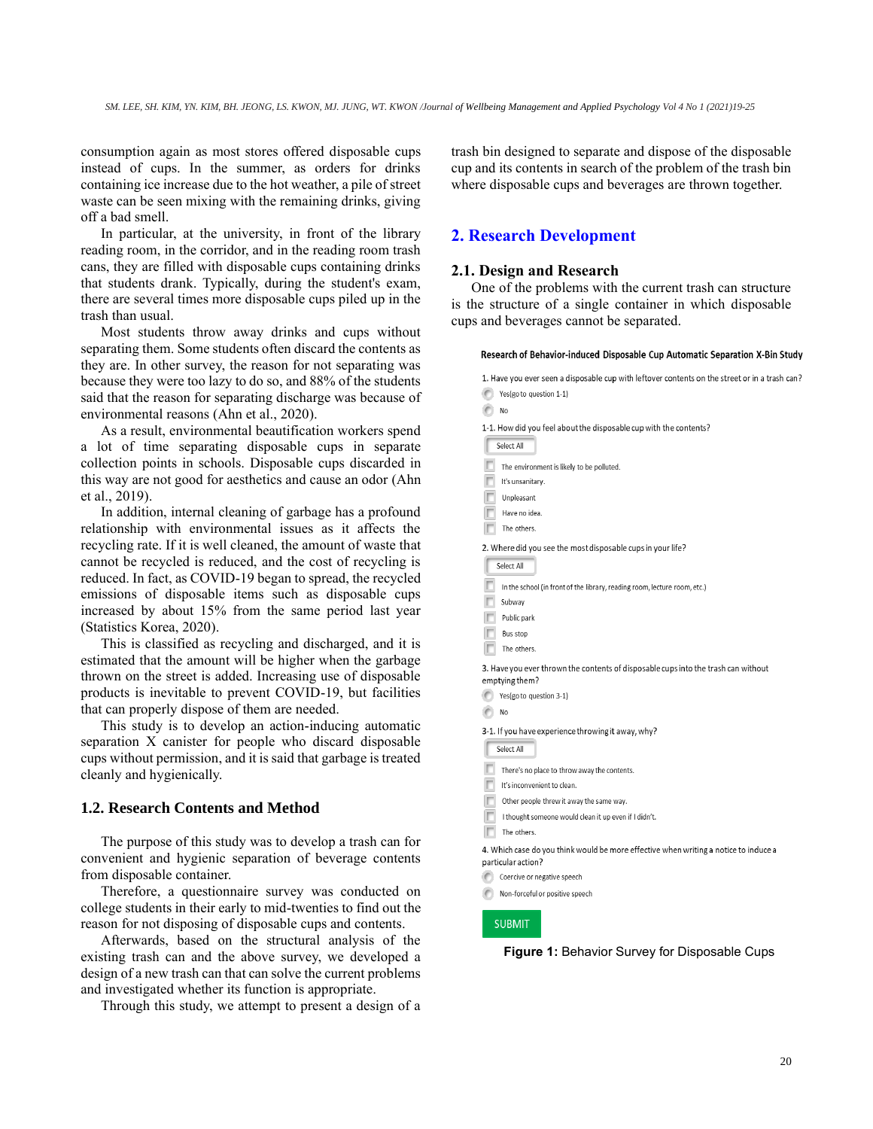consumption again as most stores offered disposable cups instead of cups. In the summer, as orders for drinks containing ice increase due to the hot weather, a pile of street waste can be seen mixing with the remaining drinks, giving off a bad smell.

In particular, at the university, in front of the library reading room, in the corridor, and in the reading room trash cans, they are filled with disposable cups containing drinks that students drank. Typically, during the student's exam, there are several times more disposable cups piled up in the trash than usual.

Most students throw away drinks and cups without separating them. Some students often discard the contents as they are. In other survey, the reason for not separating was because they were too lazy to do so, and 88% of the students said that the reason for separating discharge was because of environmental reasons (Ahn et al., 2020).

As a result, environmental beautification workers spend a lot of time separating disposable cups in separate collection points in schools. Disposable cups discarded in this way are not good for aesthetics and cause an odor (Ahn et al., 2019).

In addition, internal cleaning of garbage has a profound relationship with environmental issues as it affects the recycling rate. If it is well cleaned, the amount of waste that cannot be recycled is reduced, and the cost of recycling is reduced. In fact, as COVID-19 began to spread, the recycled emissions of disposable items such as disposable cups increased by about 15% from the same period last year (Statistics Korea, 2020).

This is classified as recycling and discharged, and it is estimated that the amount will be higher when the garbage thrown on the street is added. Increasing use of disposable products is inevitable to prevent COVID-19, but facilities that can properly dispose of them are needed.

This study is to develop an action-inducing automatic separation X canister for people who discard disposable cups without permission, and it is said that garbage is treated cleanly and hygienically.

# **1.2. Research Contents and Method**

The purpose of this study was to develop a trash can for convenient and hygienic separation of beverage contents from disposable container.

Therefore, a questionnaire survey was conducted on college students in their early to mid-twenties to find out the reason for not disposing of disposable cups and contents.

Afterwards, based on the structural analysis of the existing trash can and the above survey, we developed a design of a new trash can that can solve the current problems and investigated whether its function is appropriate.

Through this study, we attempt to present a design of a

trash bin designed to separate and dispose of the disposable cup and its contents in search of the problem of the trash bin where disposable cups and beverages are thrown together.

## **2. Research Development**

#### **2.1. Design and Research**

 $\bigcirc$  No

One of the problems with the current trash can structure is the structure of a single container in which disposable cups and beverages cannot be separated.

| Research of Behavior-induced Disposable Cup Automatic Separation X-Bin Study |  |  |  |
|------------------------------------------------------------------------------|--|--|--|
|------------------------------------------------------------------------------|--|--|--|

1. Have you ever seen a disposable cup with leftover contents on the street or in a trash can? Yes(go to question 1-1)

| 1-1. How did you feel about the disposable cup with the contents?                                        |
|----------------------------------------------------------------------------------------------------------|
| Select All                                                                                               |
| The environment is likely to be polluted.                                                                |
| It's unsanitary.                                                                                         |
| Unpleasant                                                                                               |
| Have no idea.                                                                                            |
| The others.                                                                                              |
| 2. Where did you see the most disposable cups in your life?                                              |
| Select All                                                                                               |
| In the school (in front of the library, reading room, lecture room, etc.)                                |
| Subway                                                                                                   |
| Public park                                                                                              |
| <b>Bus stop</b>                                                                                          |
| The others.                                                                                              |
| 3. Have you ever thrown the contents of disposable cups into the trash can without<br>emptying them?     |
| Yes(go to question 3-1)                                                                                  |
| No                                                                                                       |
| 3-1. If you have experience throwing it away, why?                                                       |
| Select All                                                                                               |
| There's no place to throw away the contents.                                                             |
| It's inconvenient to clean.                                                                              |
| Other people threw it away the same way.                                                                 |
| I thought someone would clean it up even if I didn't.                                                    |
| The others.                                                                                              |
| 4. Which case do you think would be more effective when writing a notice to induce<br>particular action? |
| Coercive or negative speech                                                                              |
|                                                                                                          |

 $\odot$ Non-forceful or positive speech

#### **SUBMIT**

**Figure 1:** Behavior Survey for Disposable Cups

to induce a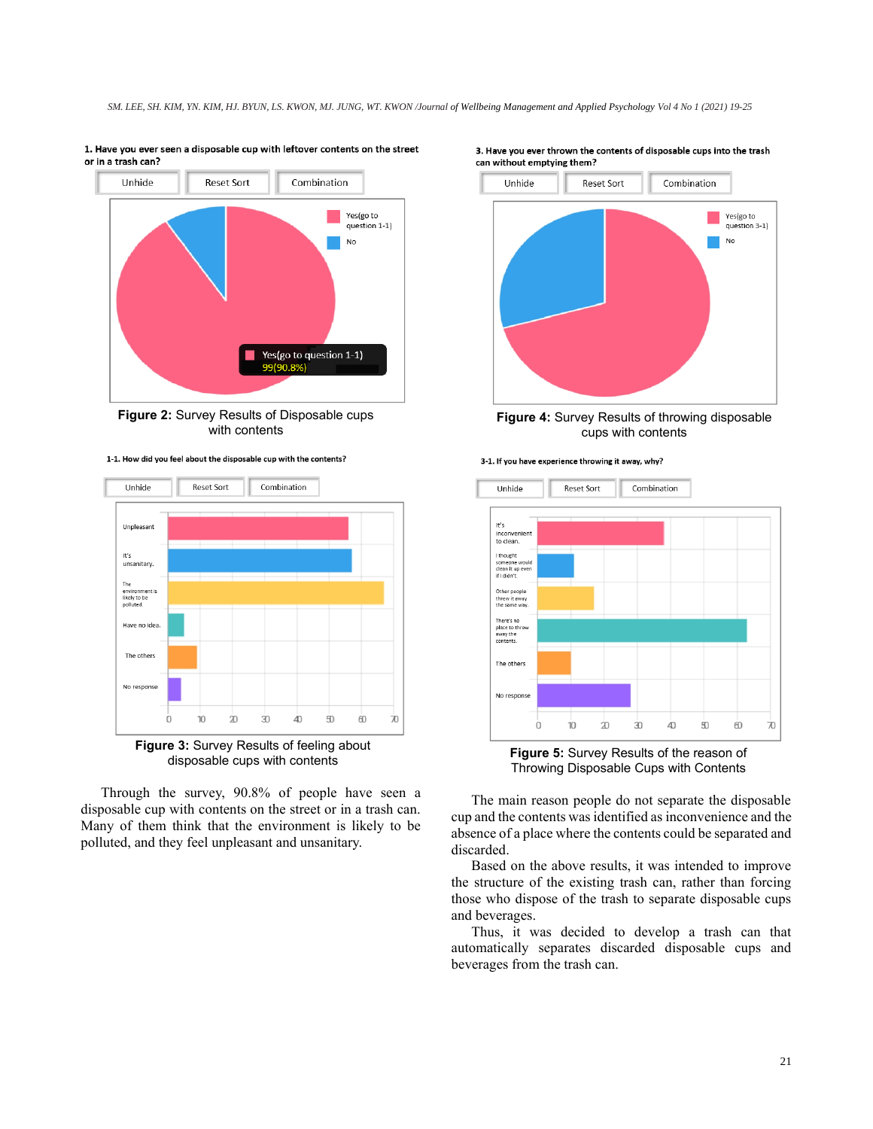



**Figure 2:** Survey Results of Disposable cups with contents





**Figure 3:** Survey Results of feeling about disposable cups with contents

Through the survey, 90.8% of people have seen a disposable cup with contents on the street or in a trash can. Many of them think that the environment is likely to be polluted, and they feel unpleasant and unsanitary.





**Figure 4:** Survey Results of throwing disposable cups with contents





**Figure 5:** Survey Results of the reason of Throwing Disposable Cups with Contents

The main reason people do not separate the disposable cup and the contents was identified as inconvenience and the absence of a place where the contents could be separated and discarded.

Based on the above results, it was intended to improve the structure of the existing trash can, rather than forcing those who dispose of the trash to separate disposable cups and beverages.

Thus, it was decided to develop a trash can that automatically separates discarded disposable cups and beverages from the trash can.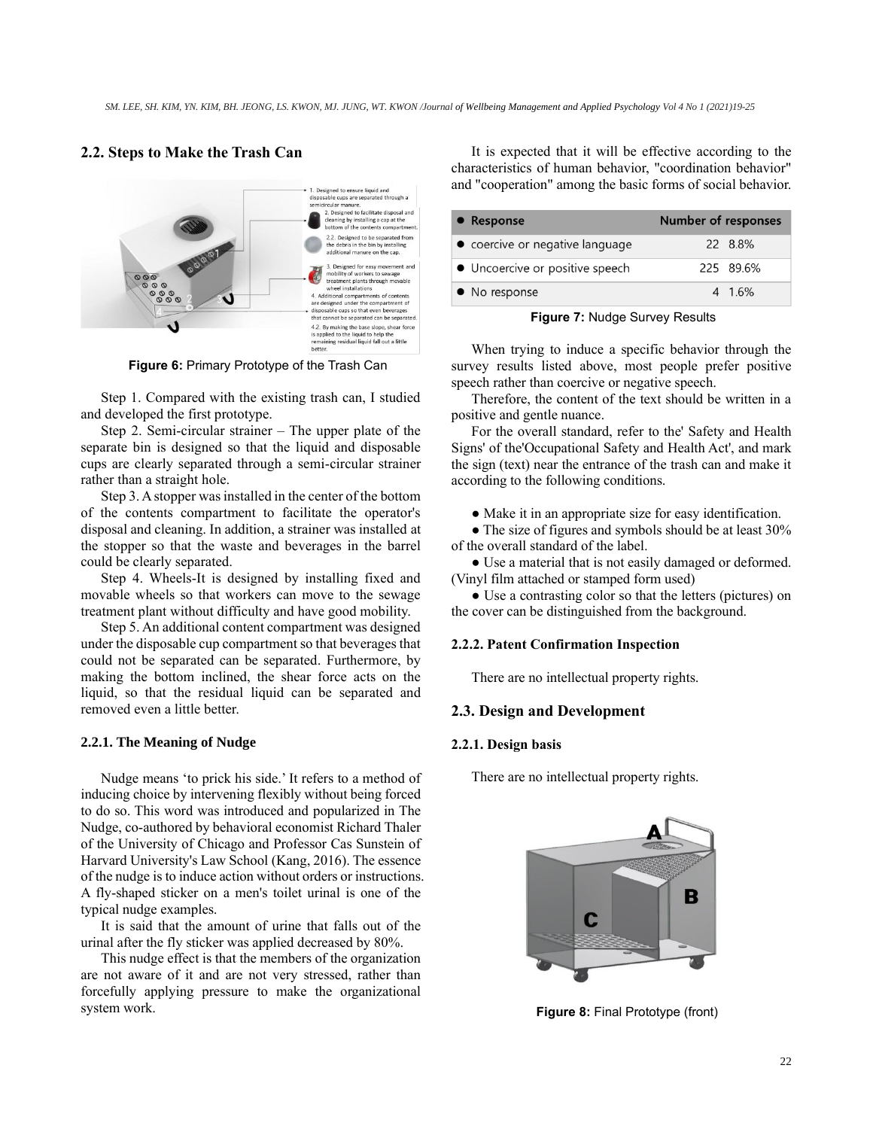# **2.2. Steps to Make the Trash Can**



**Figure 6:** Primary Prototype of the Trash Can

Step 1. Compared with the existing trash can, I studied and developed the first prototype.

Step 2. Semi-circular strainer – The upper plate of the separate bin is designed so that the liquid and disposable cups are clearly separated through a semi-circular strainer rather than a straight hole.

Step 3. A stopper was installed in the center of the bottom of the contents compartment to facilitate the operator's disposal and cleaning. In addition, a strainer was installed at the stopper so that the waste and beverages in the barrel could be clearly separated.

Step 4. Wheels-It is designed by installing fixed and movable wheels so that workers can move to the sewage treatment plant without difficulty and have good mobility.

Step 5. An additional content compartment was designed under the disposable cup compartment so that beverages that could not be separated can be separated. Furthermore, by making the bottom inclined, the shear force acts on the liquid, so that the residual liquid can be separated and removed even a little better.

#### **2.2.1. The Meaning of Nudge**

Nudge means 'to prick his side.' It refers to a method of inducing choice by intervening flexibly without being forced to do so. This word was introduced and popularized in The Nudge, co-authored by behavioral economist Richard Thaler of the University of Chicago and Professor Cas Sunstein of Harvard University's Law School (Kang, 2016). The essence of the nudge is to induce action without orders or instructions. A fly-shaped sticker on a men's toilet urinal is one of the typical nudge examples.

It is said that the amount of urine that falls out of the urinal after the fly sticker was applied decreased by 80%.

This nudge effect is that the members of the organization are not aware of it and are not very stressed, rather than forcefully applying pressure to make the organizational system work.

It is expected that it will be effective according to the characteristics of human behavior, "coordination behavior" and "cooperation" among the basic forms of social behavior.

| • Response                      | <b>Number of responses</b> |           |
|---------------------------------|----------------------------|-----------|
| • coercive or negative language |                            | 22 8.8%   |
| • Uncoercive or positive speech |                            | 225 89.6% |
| • No response                   |                            | 4 1.6%    |

**Figure 7:** Nudge Survey Results

When trying to induce a specific behavior through the survey results listed above, most people prefer positive speech rather than coercive or negative speech.

Therefore, the content of the text should be written in a positive and gentle nuance.

For the overall standard, refer to the' Safety and Health Signs' of the'Occupational Safety and Health Act', and mark the sign (text) near the entrance of the trash can and make it according to the following conditions.

● Make it in an appropriate size for easy identification.

• The size of figures and symbols should be at least 30% of the overall standard of the label.

● Use a material that is not easily damaged or deformed. (Vinyl film attached or stamped form used)

● Use a contrasting color so that the letters (pictures) on the cover can be distinguished from the background.

## **2.2.2. Patent Confirmation Inspection**

There are no intellectual property rights.

#### **2.3. Design and Development**

#### **2.2.1. Design basis**

There are no intellectual property rights.



**Figure 8:** Final Prototype (front)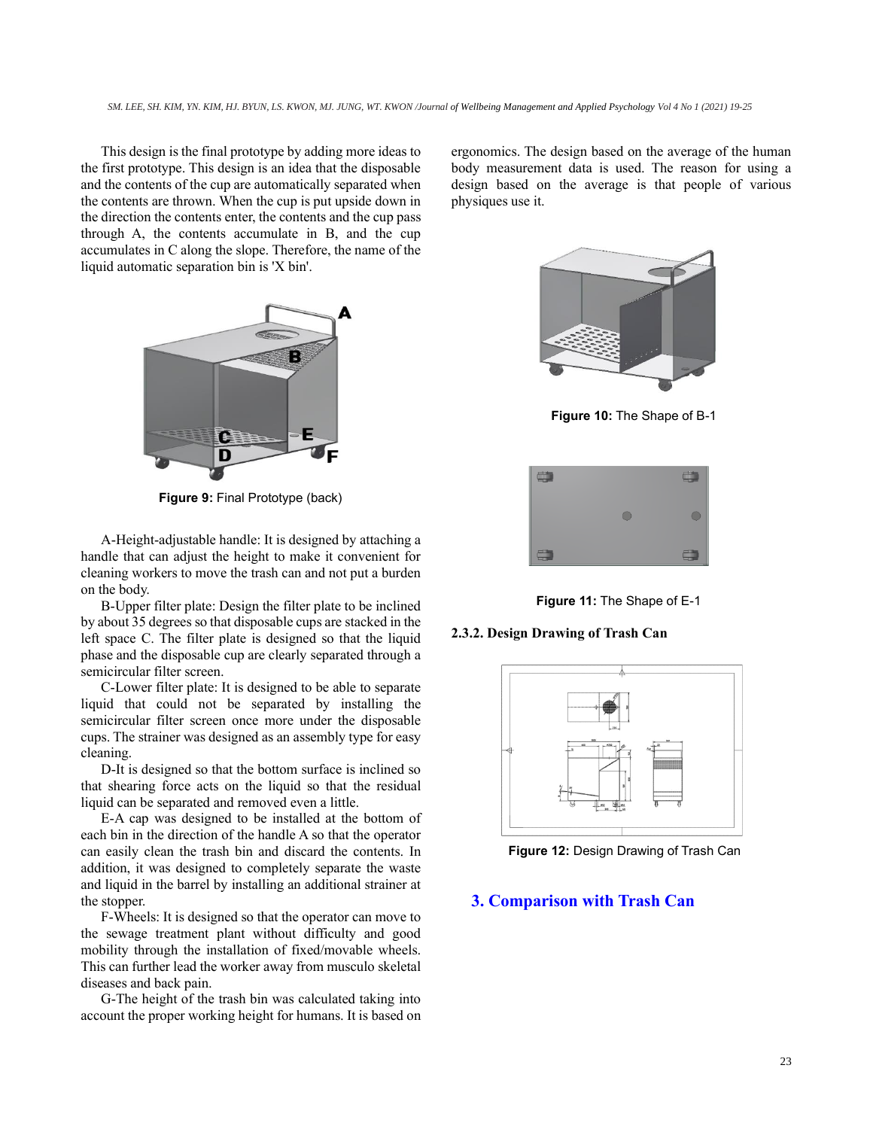This design is the final prototype by adding more ideas to the first prototype. This design is an idea that the disposable and the contents of the cup are automatically separated when the contents are thrown. When the cup is put upside down in the direction the contents enter, the contents and the cup pass through A, the contents accumulate in B, and the cup accumulates in C along the slope. Therefore, the name of the liquid automatic separation bin is 'X bin'.



**Figure 9:** Final Prototype (back)

A-Height-adjustable handle: It is designed by attaching a handle that can adjust the height to make it convenient for cleaning workers to move the trash can and not put a burden on the body.

B-Upper filter plate: Design the filter plate to be inclined by about 35 degrees so that disposable cups are stacked in the left space C. The filter plate is designed so that the liquid phase and the disposable cup are clearly separated through a semicircular filter screen.

C-Lower filter plate: It is designed to be able to separate liquid that could not be separated by installing the semicircular filter screen once more under the disposable cups. The strainer was designed as an assembly type for easy cleaning.

D-It is designed so that the bottom surface is inclined so that shearing force acts on the liquid so that the residual liquid can be separated and removed even a little.

E-A cap was designed to be installed at the bottom of each bin in the direction of the handle A so that the operator can easily clean the trash bin and discard the contents. In addition, it was designed to completely separate the waste and liquid in the barrel by installing an additional strainer at the stopper.

F-Wheels: It is designed so that the operator can move to the sewage treatment plant without difficulty and good mobility through the installation of fixed/movable wheels. This can further lead the worker away from musculo skeletal diseases and back pain.

G-The height of the trash bin was calculated taking into account the proper working height for humans. It is based on ergonomics. The design based on the average of the human body measurement data is used. The reason for using a design based on the average is that people of various physiques use it.



**Figure 10:** The Shape of B-1



**Figure 11:** The Shape of E-1

**2.3.2. Design Drawing of Trash Can**



**Figure 12:** Design Drawing of Trash Can

# **3. Comparison with Trash Can**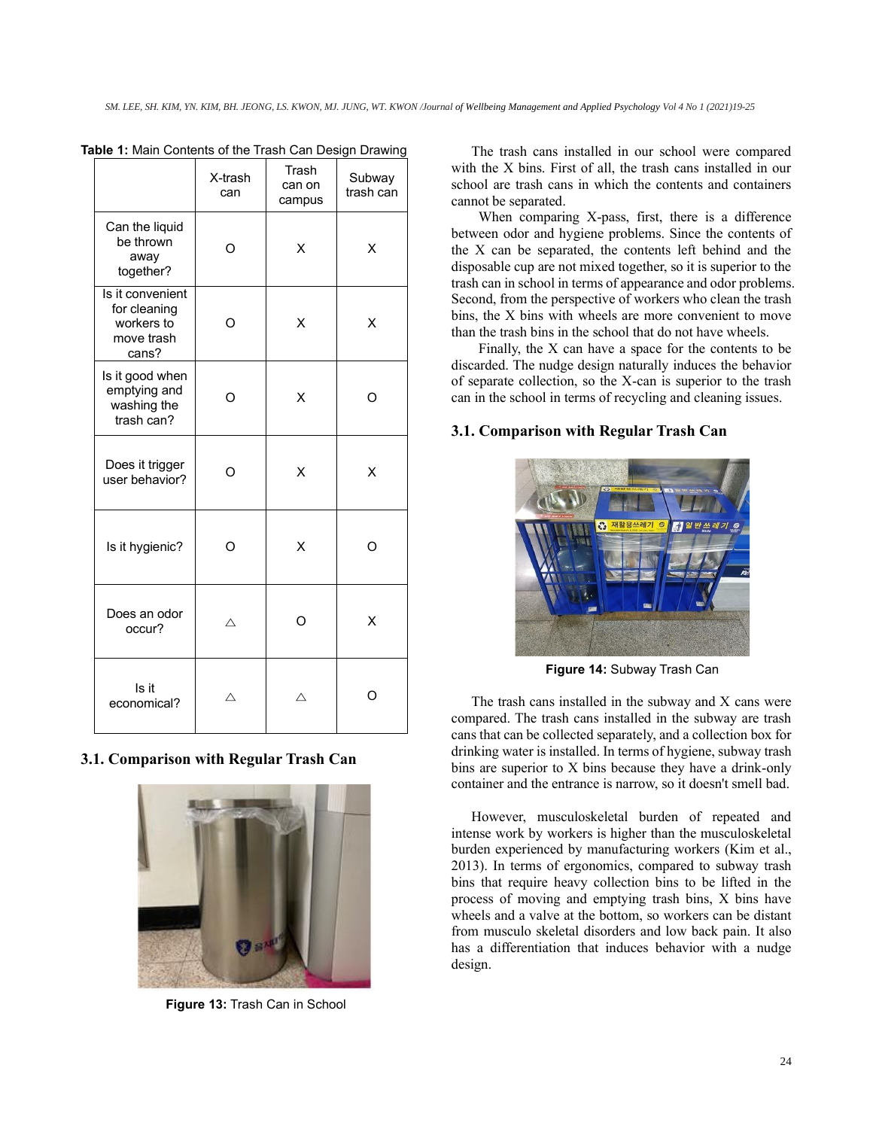|                                                                       | X-trash<br>can | Trash<br>can on<br>campus | Subway<br>trash can |
|-----------------------------------------------------------------------|----------------|---------------------------|---------------------|
| Can the liquid<br>be thrown<br>away<br>together?                      | Ω              | X                         | X                   |
| Is it convenient<br>for cleaning<br>workers to<br>move trash<br>cans? | Ω              | X                         | X                   |
| Is it good when<br>emptying and<br>washing the<br>trash can?          | Ω              | X                         | റ                   |
| Does it trigger<br>user behavior?                                     | O              | X                         | X                   |
| Is it hygienic?                                                       | O              | X                         | O                   |
| Does an odor<br>occur?                                                | Δ              | Ω                         | X                   |
| Is it<br>economical?                                                  | Δ              | ╱                         |                     |

**Table 1:** Main Contents of the Trash Can Design Drawing

## **3.1. Comparison with Regular Trash Can**



**Figure 13:** Trash Can in School

The trash cans installed in our school were compared with the X bins. First of all, the trash cans installed in our school are trash cans in which the contents and containers cannot be separated.

When comparing X-pass, first, there is a difference between odor and hygiene problems. Since the contents of the X can be separated, the contents left behind and the disposable cup are not mixed together, so it is superior to the trash can in school in terms of appearance and odor problems. Second, from the perspective of workers who clean the trash bins, the X bins with wheels are more convenient to move than the trash bins in the school that do not have wheels.

Finally, the X can have a space for the contents to be discarded. The nudge design naturally induces the behavior of separate collection, so the X-can is superior to the trash can in the school in terms of recycling and cleaning issues.

## **3.1. Comparison with Regular Trash Can**



**Figure 14:** Subway Trash Can

The trash cans installed in the subway and X cans were compared. The trash cans installed in the subway are trash cans that can be collected separately, and a collection box for drinking water is installed. In terms of hygiene, subway trash bins are superior to X bins because they have a drink-only container and the entrance is narrow, so it doesn't smell bad.

However, musculoskeletal burden of repeated and intense work by workers is higher than the musculoskeletal burden experienced by manufacturing workers (Kim et al., 2013). In terms of ergonomics, compared to subway trash bins that require heavy collection bins to be lifted in the process of moving and emptying trash bins, X bins have wheels and a valve at the bottom, so workers can be distant from musculo skeletal disorders and low back pain. It also has a differentiation that induces behavior with a nudge design.